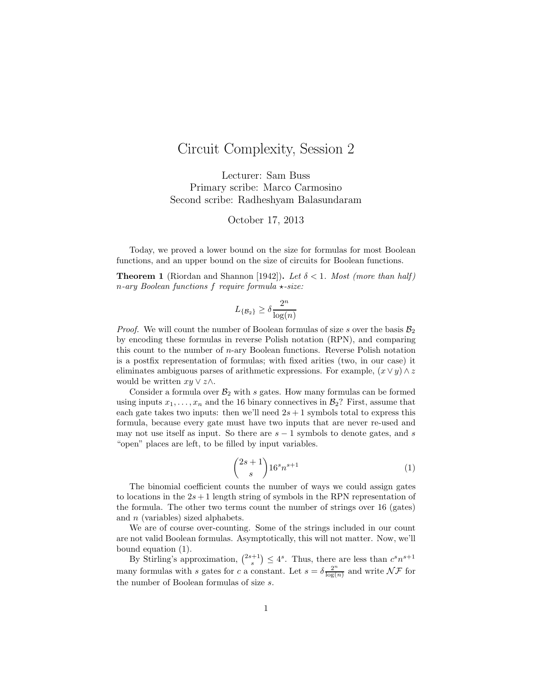## Circuit Complexity, Session 2

Lecturer: Sam Buss Primary scribe: Marco Carmosino Second scribe: Radheshyam Balasundaram

October 17, 2013

Today, we proved a lower bound on the size for formulas for most Boolean functions, and an upper bound on the size of circuits for Boolean functions.

**Theorem 1** (Riordan and Shannon [1942]). Let  $\delta < 1$ . Most (more than half) n-ary Boolean functions f require formula  $\star$ -size:

$$
L_{\{\mathcal{B}_2\}} \geq \delta \frac{2^n}{\log(n)}
$$

*Proof.* We will count the number of Boolean formulas of size s over the basis  $\mathcal{B}_2$ by encoding these formulas in reverse Polish notation (RPN), and comparing this count to the number of n-ary Boolean functions. Reverse Polish notation is a postfix representation of formulas; with fixed arities (two, in our case) it eliminates ambiguous parses of arithmetic expressions. For example,  $(x \vee y) \wedge z$ would be written  $xy \vee z \wedge$ .

Consider a formula over  $\mathcal{B}_2$  with s gates. How many formulas can be formed using inputs  $x_1, \ldots, x_n$  and the 16 binary connectives in  $\mathcal{B}_2$ ? First, assume that each gate takes two inputs: then we'll need  $2s + 1$  symbols total to express this formula, because every gate must have two inputs that are never re-used and may not use itself as input. So there are  $s - 1$  symbols to denote gates, and s "open" places are left, to be filled by input variables.

$$
\binom{2s+1}{s} 16^s n^{s+1} \tag{1}
$$

The binomial coefficient counts the number of ways we could assign gates to locations in the  $2s + 1$  length string of symbols in the RPN representation of the formula. The other two terms count the number of strings over 16 (gates) and n (variables) sized alphabets.

We are of course over-counting. Some of the strings included in our count are not valid Boolean formulas. Asymptotically, this will not matter. Now, we'll bound equation (1).

By Stirling's approximation,  $\binom{2s+1}{s} \leq 4^s$ . Thus, there are less than  $c^s n^{s+1}$ many formulas with s gates for c a constant. Let  $s = \delta \frac{2^n}{\log a}$  $\frac{2^n}{\log(n)}$  and write  $\mathcal{NF}$  for the number of Boolean formulas of size s.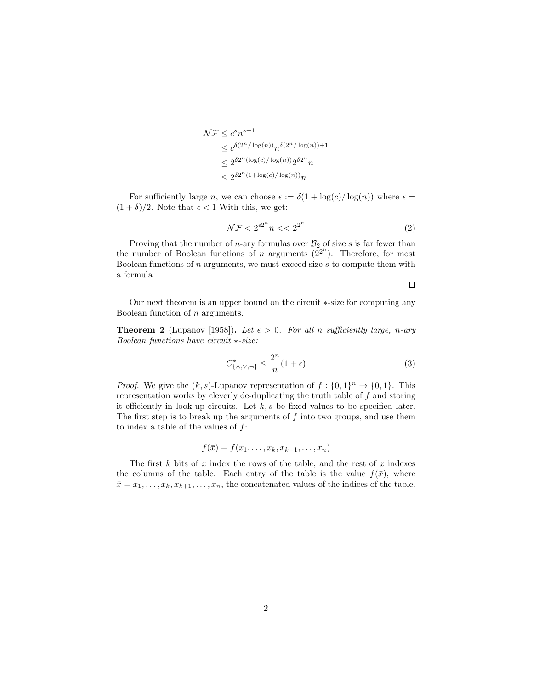$$
\mathcal{NF} \le c^s n^{s+1}
$$
  
\n
$$
\le c^{\delta(2^n/\log(n))} n^{\delta(2^n/\log(n))+1}
$$
  
\n
$$
\le 2^{\delta 2^n (\log(c)/\log(n))} 2^{\delta 2^n} n
$$
  
\n
$$
\le 2^{\delta 2^n (1 + \log(c)/\log(n))} n
$$

For sufficiently large n, we can choose  $\epsilon := \delta(1 + \log(c)/\log(n))$  where  $\epsilon =$  $(1 + \delta)/2$ . Note that  $\epsilon < 1$  With this, we get:

$$
\mathcal{NF} < 2^{\epsilon 2^n} n < \epsilon 2^{2^n} \tag{2}
$$

 $\Box$ 

Proving that the number of *n*-ary formulas over  $B_2$  of size *s* is far fewer than the number of Boolean functions of n arguments  $(2^{2^n})$ . Therefore, for most Boolean functions of  $n$  arguments, we must exceed size  $s$  to compute them with a formula.

Our next theorem is an upper bound on the circuit ∗-size for computing any Boolean function of n arguments.

**Theorem 2** (Lupanov [1958]). Let  $\epsilon > 0$ . For all n sufficiently large, n-ary Boolean functions have circuit  $\star$ -size:

$$
C^*_{\{\wedge,\vee,\neg\}} \le \frac{2^n}{n}(1+\epsilon) \tag{3}
$$

*Proof.* We give the  $(k, s)$ -Lupanov representation of  $f : \{0, 1\}^n \to \{0, 1\}$ . This representation works by cleverly de-duplicating the truth table of f and storing it efficiently in look-up circuits. Let  $k, s$  be fixed values to be specified later. The first step is to break up the arguments of  $f$  into two groups, and use them to index a table of the values of  $f$ :

$$
f(\bar{x})=f(x_1,\ldots,x_k,x_{k+1},\ldots,x_n)
$$

The first  $k$  bits of  $x$  index the rows of the table, and the rest of  $x$  indexes the columns of the table. Each entry of the table is the value  $f(\bar{x})$ , where  $\bar{x} = x_1, \ldots, x_k, x_{k+1}, \ldots, x_n$ , the concatenated values of the indices of the table.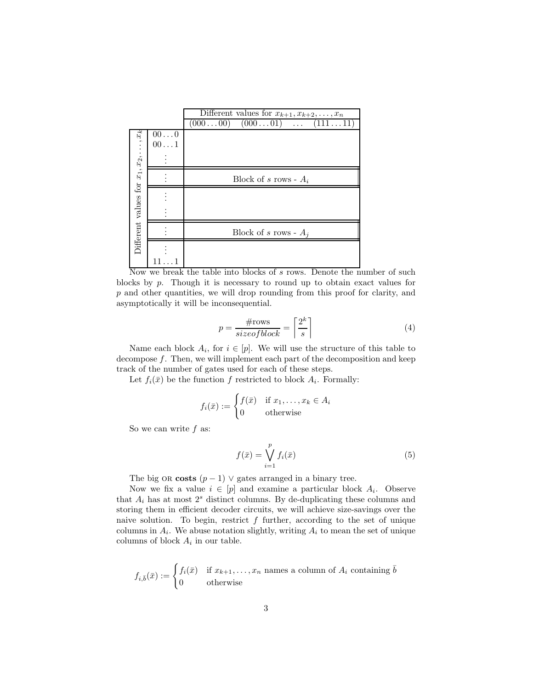

Now we break the table into blocks of s rows. Denote the number of such blocks by p. Though it is necessary to round up to obtain exact values for p and other quantities, we will drop rounding from this proof for clarity, and asymptotically it will be inconsequential.

$$
p = \frac{\text{\#rows}}{\text{size of block}} = \left\lceil \frac{2^k}{s} \right\rceil \tag{4}
$$

Name each block  $A_i$ , for  $i \in [p]$ . We will use the structure of this table to decompose  $f$ . Then, we will implement each part of the decomposition and keep track of the number of gates used for each of these steps.

Let  $f_i(\bar{x})$  be the function f restricted to block  $A_i$ . Formally:

$$
f_i(\bar{x}) := \begin{cases} f(\bar{x}) & \text{if } x_1, \dots, x_k \in A_i \\ 0 & \text{otherwise} \end{cases}
$$

So we can write  $f$  as:

$$
f(\bar{x}) = \bigvee_{i=1}^{p} f_i(\bar{x})
$$
\n(5)

The big OR costs  $(p-1)$   $\vee$  gates arranged in a binary tree.

Now we fix a value  $i \in [p]$  and examine a particular block  $A_i$ . Observe that  $A_i$  has at most  $2<sup>s</sup>$  distinct columns. By de-duplicating these columns and storing them in efficient decoder circuits, we will achieve size-savings over the naive solution. To begin, restrict  $f$  further, according to the set of unique columns in  $A_i$ . We abuse notation slightly, writing  $A_i$  to mean the set of unique columns of block  $A_i$  in our table.

$$
f_{i,\bar{b}}(\bar{x}) := \begin{cases} f_i(\bar{x}) & \text{if } x_{k+1}, \dots, x_n \text{ names a column of } A_i \text{ containing } \bar{b} \\ 0 & \text{otherwise} \end{cases}
$$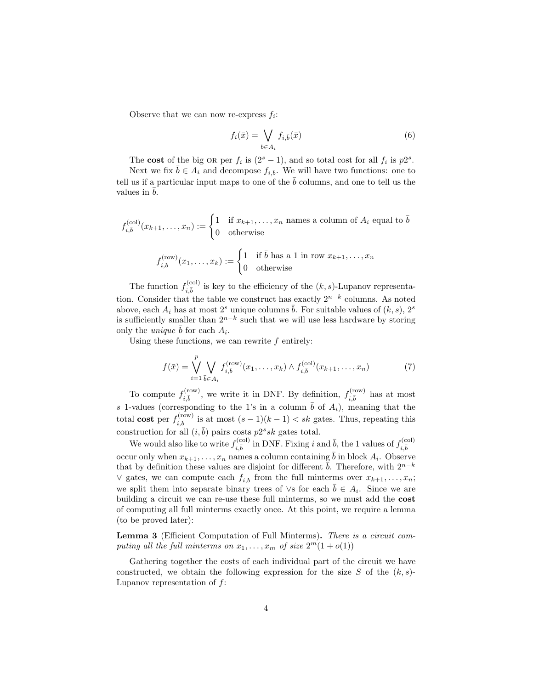Observe that we can now re-express  $f_i$ :

$$
f_i(\bar{x}) = \bigvee_{\bar{b} \in A_i} f_{i,\bar{b}}(\bar{x})
$$
\n(6)

The cost of the big OR per  $f_i$  is  $(2<sup>s</sup> - 1)$ , and so total cost for all  $f_i$  is  $p2<sup>s</sup>$ .

Next we fix  $\bar{b} \in A_i$  and decompose  $f_{i,\bar{b}}$ . We will have two functions: one to tell us if a particular input maps to one of the  $\bar{b}$  columns, and one to tell us the values in  $b$ .

$$
f_{i,\bar{b}}^{(\text{col})}(x_{k+1},\ldots,x_n) := \begin{cases} 1 & \text{if } x_{k+1},\ldots,x_n \text{ names a column of } A_i \text{ equal to } \bar{b} \\ 0 & \text{otherwise} \end{cases}
$$

$$
f_{i,\bar{b}}^{(\text{row})}(x_1,\ldots,x_k) := \begin{cases} 1 & \text{if } \bar{b} \text{ has a 1 in row } x_{k+1},\ldots,x_n \\ 0 & \text{otherwise} \end{cases}
$$

The function  $f_{i,\bar{b}}^{(\text{col})}$  is key to the efficiency of the  $(k, s)$ -Lupanov representation. Consider that the table we construct has exactly  $2^{n-k}$  columns. As noted above, each  $A_i$  has at most  $2<sup>s</sup>$  unique columns  $\overline{b}$ . For suitable values of  $(k, s)$ ,  $2<sup>s</sup>$ is sufficiently smaller than  $2^{n-k}$  such that we will use less hardware by storing only the *unique*  $\bar{b}$  for each  $A_i$ .

Using these functions, we can rewrite  $f$  entirely:

$$
f(\bar{x}) = \bigvee_{i=1}^{p} \bigvee_{\bar{b} \in A_i} f_{i,\bar{b}}^{(\text{row})}(x_1, \dots, x_k) \wedge f_{i,\bar{b}}^{(\text{col})}(x_{k+1}, \dots, x_n)
$$
(7)

To compute  $f_{i,\bar{b}}^{(\text{row})}$ , we write it in DNF. By definition,  $f_{i,\bar{b}}^{(\text{row})}$  has at most s 1-values (corresponding to the 1's in a column  $\bar{b}$  of  $A_i$ ), meaning that the total cost per  $f_{i,\bar{b}}^{(\text{row})}$  is at most  $(s-1)(k-1) < sk$  gates. Thus, repeating this construction for all  $(i, \bar{b})$  pairs costs  $p2s$  gates total.

We would also like to write  $f_{i,\bar{b}}^{(\text{col})}$  in DNF. Fixing i and  $\bar{b}$ , the 1 values of  $f_{i,\bar{b}}^{(\text{col})}$ occur only when  $x_{k+1}, \ldots, x_n$  names a column containing  $\bar{b}$  in block  $A_i$ . Observe that by definition these values are disjoint for different  $\bar{b}$ . Therefore, with  $2^{n-k}$ ∨ gates, we can compute each  $f_{i,\bar{b}}$  from the full minterms over  $x_{k+1}, \ldots, x_n$ ; we split them into separate binary trees of  $\vee$ s for each  $\overline{b} \in A_i$ . Since we are building a circuit we can re-use these full minterms, so we must add the cost of computing all full minterms exactly once. At this point, we require a lemma (to be proved later):

Lemma 3 (Efficient Computation of Full Minterms). There is a circuit computing all the full minterms on  $x_1, \ldots, x_m$  of size  $2^m(1+o(1))$ 

Gathering together the costs of each individual part of the circuit we have constructed, we obtain the following expression for the size S of the  $(k, s)$ -Lupanov representation of  $f$ :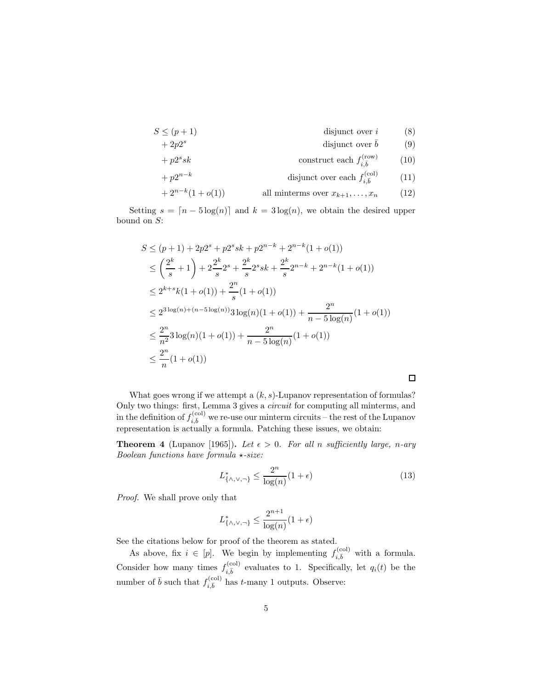$$
S \le (p+1) \qquad \qquad \text{disjunct over } i \qquad \qquad (8)
$$

+ 2p2 <sup>s</sup> disjunct over ¯b (9)

$$
+ p2s sk
$$
 construct each  $f_{i,\bar{b}}^{(\text{row})}$  (10)

$$
+ p2^{n-k} \qquad \qquad \text{disjunct over each } f_{i,\bar{b}}^{(\text{col})} \qquad (11)
$$

$$
+2^{n-k}(1+o(1)) \qquad \qquad \text{all minterms over } x_{k+1},\ldots,x_n \qquad (12)
$$

Setting  $s = \lfloor n - 5 \log(n) \rfloor$  and  $k = 3 \log(n)$ , we obtain the desired upper bound on S:

$$
S \le (p+1) + 2p2^s + p2^s sk + p2^{n-k} + 2^{n-k}(1+o(1))
$$
  
\n
$$
\le \left(\frac{2^k}{s} + 1\right) + 2\frac{2^k}{s}2^s + \frac{2^k}{s}2^s sk + \frac{2^k}{s}2^{n-k} + 2^{n-k}(1+o(1))
$$
  
\n
$$
\le 2^{k+s}k(1+o(1)) + \frac{2^n}{s}(1+o(1))
$$
  
\n
$$
\le 2^{3\log(n)+(n-5\log(n))}3\log(n)(1+o(1)) + \frac{2^n}{n-5\log(n)}(1+o(1))
$$
  
\n
$$
\le \frac{2^n}{n^2}3\log(n)(1+o(1)) + \frac{2^n}{n-5\log(n)}(1+o(1))
$$
  
\n
$$
\le \frac{2^n}{n}(1+o(1))
$$

What goes wrong if we attempt a  $(k, s)$ -Lupanov representation of formulas? Only two things: first, Lemma 3 gives a *circuit* for computing all minterms, and in the definition of  $f_{i,\bar{b}}^{(\text{col})}$  we re-use our minterm circuits – the rest of the Lupanov representation is actually a formula. Patching these issues, we obtain:

**Theorem 4** (Lupanov [1965]). Let  $\epsilon > 0$ . For all n sufficiently large, n-ary Boolean functions have formula  $\star$ -size:

$$
L_{\{\wedge,\vee,\neg\}}^* \le \frac{2^n}{\log(n)}(1+\epsilon) \tag{13}
$$

 $\Box$ 

Proof. We shall prove only that

$$
L^*_{\{\wedge,\vee,\neg\}} \le \frac{2^{n+1}}{\log(n)}(1+\epsilon)
$$

See the citations below for proof of the theorem as stated.

As above, fix  $i \in [p]$ . We begin by implementing  $f_{i,\bar{b}}^{(\text{col})}$  with a formula. Consider how many times  $f_{i,\bar{b}}^{(\text{col})}$  evaluates to 1. Specifically, let  $q_i(t)$  be the number of  $\bar{b}$  such that  $f_{i,\bar{b}}^{(\text{col})}$  has t-many 1 outputs. Observe: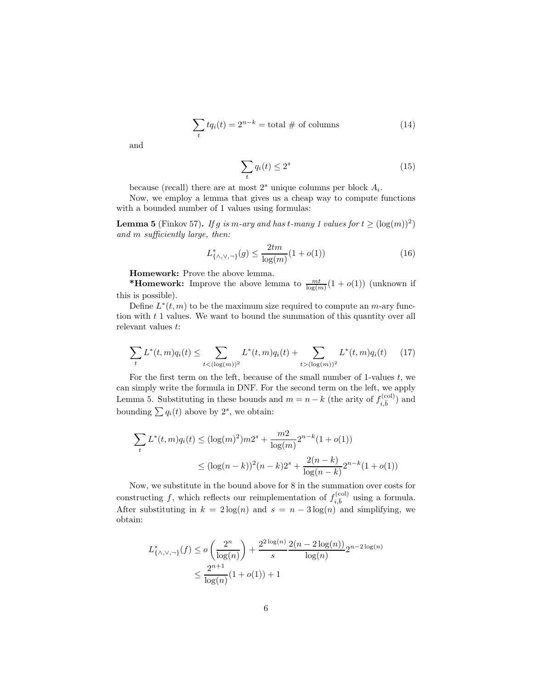$$
\sum_{t} t q_i(t) = 2^{n-k} = \text{total} \# \text{ of columns}
$$
 (14)

and

$$
\sum_{t} q_i(t) \le 2^s \tag{15}
$$

because (recall) there are at most  $2<sup>s</sup>$  unique columns per block  $A<sub>i</sub>$ .

Now, we employ a lemma that gives us a cheap way to compute functions with a bounded number of 1 values using formulas:

**Lemma 5** (Finkov 57). If g is m-ary and has t-many 1 values for  $t \geq (\log(m))^2$ ) and m sufficiently large, then:

$$
L_{\{\wedge,\vee,\neg\}}^*(g) \le \frac{2tm}{\log(m)}(1+o(1))\tag{16}
$$

Homework: Prove the above lemma.

\***Homework:** Improve the above lemma to  $\frac{mt}{\log(m)}(1 + o(1))$  (unknown if this is possible).

Define  $L^*(t,m)$  to be the maximum size required to compute an  $m$ -ary function with  $t$  1 values. We want to bound the summation of this quantity over all relevant values t:

$$
\sum_{t} L^{*}(t, m) q_{i}(t) \leq \sum_{t < (\log(m))^{2}} L^{*}(t, m) q_{i}(t) + \sum_{t > (\log(m))^{2}} L^{*}(t, m) q_{i}(t) \qquad (17)
$$

For the first term on the left, because of the small number of 1-values  $t$ , we can simply write the formula in DNF. For the second term on the left, we apply Lemma 5. Substituting in these bounds and  $m = n - k$  (the arity of  $f_{i, \bar{b}}^{(\text{col})}$ ) and bounding  $\sum q_i(t)$  above by  $2^s$ , we obtain:

$$
\sum_{t} L^*(t, m) q_i(t) \le (\log(m)^2) m 2^s + \frac{m2}{\log(m)} 2^{n-k} (1 + o(1))
$$
  

$$
\le (\log(n - k))^2 (n - k) 2^s + \frac{2(n - k)}{\log(n - k)} 2^{n-k} (1 + o(1))
$$

Now, we substitute in the bound above for 8 in the summation over costs for constructing f, which reflects our reimplementation of  $f_{i,\bar{b}}^{(\text{col})}$  using a formula. After substituting in  $k = 2 \log(n)$  and  $s = n - 3 \log(n)$  and simplifying, we obtain:

$$
L_{\{\wedge,\vee,\neg\}}^*(f) \le o\left(\frac{2^n}{\log(n)}\right) + \frac{2^{2\log(n)}}{s} \frac{2(n-2\log(n))}{\log(n)} 2^{n-2\log(n)} \le \frac{2^{n+1}}{\log(n)} (1+o(1)) + 1
$$